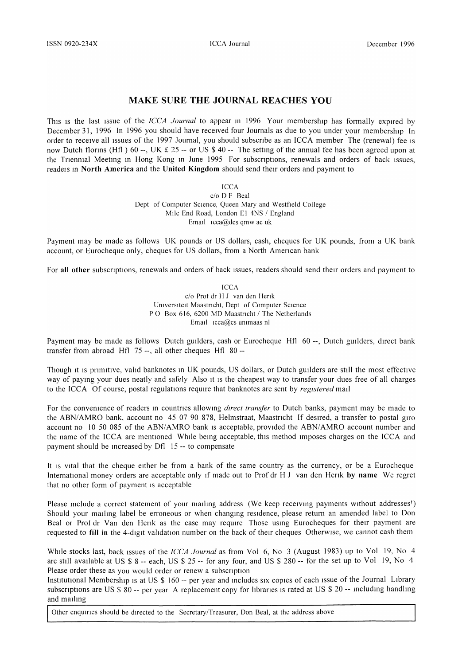## MAKE SURE THE JOURNAL REACHES YOU

This is the last issue of the *ICCA Journal* to appear in 1996 Your membership has formally expired by December 31, 1996 In 1996 you should have received four Journals as due to you under your membership In order to receive all issues of the 1997 Journal, you should subscribe as an ICCA member The (renewal) fee is now Dutch florins (Hfl ) 60 --, UK  $\pounds$  25 -- or US \$ 40 -- The setting of the annual fee has been agreed upon at the Triennial Meeting in Hong Kong in June 1995 For subscriptions, renewals and orders of back issues, readels in North America and the United Kingdom should send their orders and payment to

**ICCA** 

c/o D F Beal Dept of Computer Science, Queen Mary and Westfield College MIle End Road, London El 4NS / England Email  $icca@dcs$  qmw ac uk

Payment may be made as follows UK pounds or US dollars, cash, cheques for UK pounds, from a UK bank account, or Eurocheque only, cheques for US dollars, from a North American bank

For all other subscriptions, renewals and orders of back issues, readers should send their orders and payment to

**ICCA** c/o Prof dr H J van den Herik Universiteit Maastricht, Dept of Computer Science PO Box 616, 6200 MD Maastricht / The Netherlands Email  $icea@cs$  unimaas nl

Payment may be made as follows Dutch guilders, cash or Eurocheque Hfl 60 --, Dutch guilders, direct bank transfer from abroad Hfl 75 --, all other cheques Hfl 80--

Though it is primitive, valid banknotes in UK pounds, US dollars, or Dutch guilders are still the most effective way of paying your dues neatly and safely Also it is the cheapest way to transfer your dues free of all charges to the ICCA Of course, postal regulations require that banknotes are sent by *registered* mail

For the convenience of readers in countries allowing *direct transfer* to Dutch banks, payment may be made to the *ABN/AMRO bank*, account no 45 07 90 878, Helmstraat, Maastricht If desired, a transfer to postal giro account no 10 50 085 of the ABN/AMRO bank is acceptable, provided the ABN/AMRO account number and the name of the ICCA are mentioned While being acceptable, this method imposes charges on the ICCA and payment should be Increased by Dfl 15 -- to compensate

It is vital that the cheque either be from a bank of the same country as the currency, or be a Eurocheque International money orders are acceptable only if made out to Prof dr H J van den Herik by name We regret that no other form of payment is acceptable

Please include a correct statement of your mailing address (We keep receiving payments without addresses<sup>1</sup>) Should your mailing label be erroneous or when changing residence, please return an amended label to Don Beal or Prof dr Van den Herik as the case may require Those using Eurocheques for their payment are requested to fill in the 4-digit validation number on the back of their cheques Otherwise, we cannot cash them

WhIle stocks last, back Issues of the *ICCA Journal* as from Vol 6, No 3 (August 1983) up to Vol 19, No 4 are still available at US \$ 8 -- each, US \$ 25 -- for any four, and US \$ 280 -- for the set up to Vol 19, No 4 Please order these as you would order or renew a subscription

Institutional Membership is at US \$ 160 -- per year and includes six copies of each issue of the Journal Library subscriptions are US \$ 80 -- per year A replacement copy for libraries is rated at US \$ 20 -- including handling and mailing

Other enquiries should be directed to the Secretary/Treasurer, Don Beal, at the address above